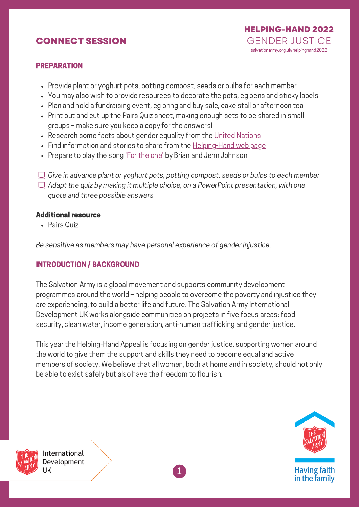## **CONNECT SESSION**



#### PREPARATION

- Provide plant or yoghurt pots, potting compost, seeds or bulbs for each member
- You may also wish to provide resources to decorate the pots, eg pens and sticky labels
- Plan and hold a fundraising event, eg bring and buy sale, cake stall or afternoon tea
- Print out and cut up the Pairs Quiz sheet, making enough sets to be shared in small groups – make sure you keep a copy for the answers!
- Research some facts about gender equality from the United [Nations](https://www.un.org/sustainabledevelopment/gender-equality/)
- Find information and stories to share from the [Helping-Hand](https://www.salvationarmy.org.uk/international-development/campaigns/helping-hand-appeal) web page
- Prepare to play the song 'For the [one'](https://www.youtube.com/watch?v=e_bj6mjUj7k) by Brian and Jenn Johnson
- $\Box$  Give in advance plant or yoghurt pots, potting compost, seeds or bulbs to each member
- $\Box$  Adapt the quiz by making it multiple choice, on a PowerPoint presentation, with one quote and three possible answers

#### Additional resource

Pairs Quiz

Be sensitive as members may have personal experience of gender injustice.

### INTRODUCTION / BACKGROUND

The Salvation Army is a global movement and supports community development programmes around the world – helping people to overcome the poverty and injustice they are experiencing, to build a better life and future. The Salvation Army International Development UK works alongside communities on projects in five focus areas: food security, clean water, income generation, anti-human trafficking and gender justice.

This year the Helping-Hand Appeal is focusing on gender justice, supporting women around the world to give them the support and skills they need to become equal and active members of society. We believe that all women, both at home and in society, should not only be able to exist safely but also have the freedom to flourish.





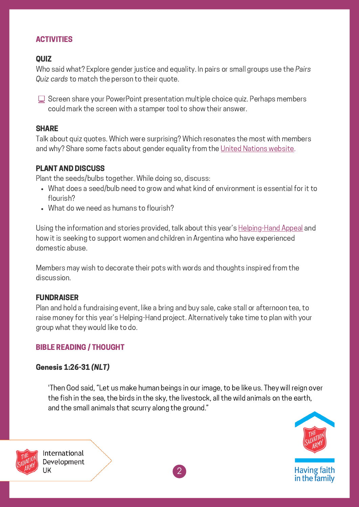## ACTIVITIES

### **QUIZ**

Who said what? Explore gender justice and equality. In pairs or small groups use the Pairs Quiz cards to match the person to their quote.

□ Screen share your PowerPoint presentation multiple choice quiz. Perhaps members could mark the screen with a stamper tool to show their answer.

#### **SHARE**

Talk about quiz quotes. Which were surprising? Which resonates the most with members and why? Share some facts about gender equality from the United Nations [website](https://www.un.org/sustainabledevelopment/gender-equality/).

#### PLANT AND DISCUSS

Plant the seeds/bulbs together. While doing so, discuss:

- What does a seed/bulb need to grow and what kind of environment is essential for it to flourish?
- What do we need as humans to flourish?

Using the information and stories provided, talk about this year's **[Helping-Hand](https://www.salvationarmy.org.uk/helpinghand2022) Appeal** and how it is seeking to support women and children in Argentina who have experienced domestic abuse.

Members may wish to decorate their pots with words and thoughts inspired from the discussion.

#### FUNDRAISER

Plan and hold a fundraising event, like a bring and buy sale, cake stall or afternoon tea, to raise money for this year's Helping-Hand project. Alternatively take time to plan with your group what they would like to do.

### BIBLE READING / THOUGHT

### Genesis 1:26-31 (NLT)

'Then God said, "Let us make human beings in our image, to be like us. They will reign over the fish in the sea, the birds in the sky, the livestock, all the wild animals on the earth, and the small animals that scurry along the ground."





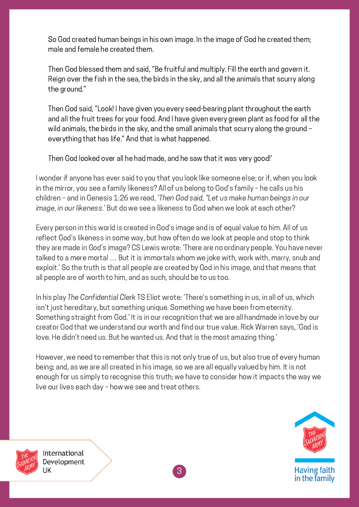So God created human beings in his own image. In the image of God he created them; male and female he created them.

Then God blessed them and said, "Be fruitful and multiply. Fill the earth and govern it. Reign over the fish in the sea, the birds in the sky, and all the animals that scurry along the ground."

Then God said, "Look! I have given you every seed-bearing plant throughout the earth and all the fruit trees for your food. And I have given every green plant as food for all the wild animals, the birds in the sky, and the small animals that scurry along the ground – everything that has life." And that is what happened.

Then God looked over all he had made, and he saw that it was very good!'

I wonder if anyone has ever said to you that you look like someone else; or if, when you look in the mirror, you see a family likeness? All of us belong to God's family – he calls us his children – and in Genesis 1:26 we read, 'Then God said, "Let us make human beings in our image, in our likeness.' But do we see a likeness to God when we look at each other?

Every person in this world is created in God's image and is of equal value to him. All of us reflect God's likeness in some way, but how often do we look at people and stop to think they are made in God's image? CS Lewis wrote: 'There are no ordinary people. You have never talked to a mere mortal … But it is immortals whom we joke with, work with, marry, snub and exploit.' So the truth is that all people are created by God in his image, and that means that all people are of worth to him, and as such, should be to us too.

In his play The Confidential Clerk TS Eliot wrote: 'There's something in us, in all of us, which isn't just hereditary, but something unique. Something we have been from eternity. Something straight from God.' It is in our recognition that we are all handmade in love by our creator God that we understand our worth and find our true value. Rick Warren says, 'God is love. He didn't need us. But he wanted us. And that is the most amazing thing.'

However, we need to remember that this is not only true of us, but also true of every human being; and, as we are all created in his image, so we are all equally valued by him. It is not enough for us simply to recognise this truth; we have to consider how it impacts the way we live our lives each day – how we see and treat others.



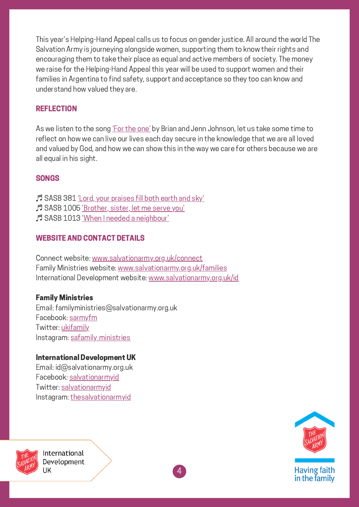This year's Helping-Hand Appeal calls us to focus on gender justice. All around the world The Salvation Army is journeying alongside women, supporting them to know their rights and encouraging them to take their place as equal and active members of society. The money we raise for the Helping-Hand Appeal this year will be used to support women and their families in Argentina to find safety, support and acceptance so they too can know and understand how valued they are.

## **REFLECTION**

As we listen to the song 'For the [one'](https://www.youtube.com/watch?v=e_bj6mjUj7k) by Brian and Jenn Johnson, let us take some time to reflect on how we can live our lives each day secure in the knowledge that we are all loved and valued by God, and how we can show this in the way we care for others because we are all equal in his sight.

4

### SONGS

♬ SASB 381 'Lord, your [praises](https://www.youtube.com/watch?v=FoQ-6X1eMEc) fill both earth and sky' ♬ SASB 1005 ['Brother,](https://www.youtube.com/watch?v=0JahFRDrSCs) sister, let me serve you' ♬ SASB 1013 'When I needed a [neighbour'](https://www.youtube.com/watch?v=_0XPCUgvY2o)

## WEBSITE AND CONTACT DETAILS

Connect website: [www.salvationarmy.org.uk/connect](http://www.salvationarmy.org.uk/connect) Family Ministries website: [www.salvationarmy.org.uk/families](http://www.salvationarmy.org.uk/families) International Development website: [www.salvationarmy.org.uk/id](http://www.salvationarmy.org.uk/id)

### Family Ministries

Email: familyministries@salvationarmy.org.uk Facebook: [sarmyfm](http://www.facebook.com/sarmyfm) Twitter: [ukifamily](http://www.twitter.com/ukifamily) Instagram: safamily ministries

### International Development UK

Email: id@salvationarmy.org.uk Facebook: [salvationarmyid](http://www.facebook.com/salvationarmyid) Twitter: [salvationarmyid](http://www.twitter.com/salvationarmyid) Instagram: [thesalvationarmyid](http://www.instagram.com/thesalvationarmyid)



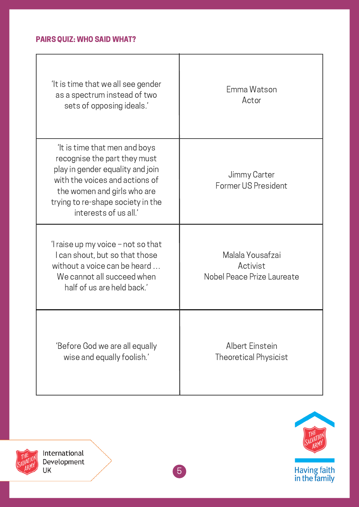## PAIRS QUIZ: WHO SAID WHAT?

| 'It is time that we all see gender<br>as a spectrum instead of two<br>sets of opposing ideals.'                                                                                                                                 | Emma Watson<br>Actor                                       |
|---------------------------------------------------------------------------------------------------------------------------------------------------------------------------------------------------------------------------------|------------------------------------------------------------|
| It is time that men and boys<br>recognise the part they must<br>play in gender equality and join<br>with the voices and actions of<br>the women and girls who are<br>trying to re-shape society in the<br>interests of us all.' | Jimmy Carter<br>Former US President                        |
| 'I raise up my voice $-$ not so that<br>I can shout, but so that those<br>without a voice can be heard<br>We cannot all succeed when<br>half of us are held back.'                                                              | Malala Yousafzai<br>Activist<br>Nobel Peace Prize Laureate |
| 'Before God we are all equally<br>wise and equally foolish.'                                                                                                                                                                    | <b>Albert Einstein</b><br><b>Theoretical Physicist</b>     |



International Development UK

THE THE